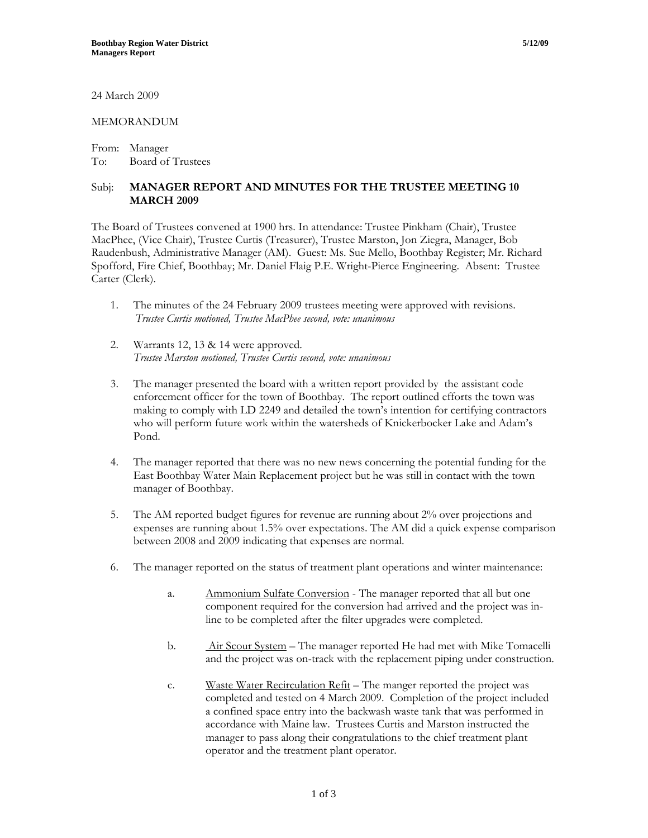24 March 2009

## MEMORANDUM

From: Manager To: Board of Trustees

## Subj: **MANAGER REPORT AND MINUTES FOR THE TRUSTEE MEETING 10 MARCH 2009**

The Board of Trustees convened at 1900 hrs. In attendance: Trustee Pinkham (Chair), Trustee MacPhee, (Vice Chair), Trustee Curtis (Treasurer), Trustee Marston, Jon Ziegra, Manager, Bob Raudenbush, Administrative Manager (AM). Guest: Ms. Sue Mello, Boothbay Register; Mr. Richard Spofford, Fire Chief, Boothbay; Mr. Daniel Flaig P.E. Wright-Pierce Engineering. Absent: Trustee Carter (Clerk).

- 1. The minutes of the 24 February 2009 trustees meeting were approved with revisions. *Trustee Curtis motioned, Trustee MacPhee second, vote: unanimous*
- 2. Warrants 12, 13 & 14 were approved. *Trustee Marston motioned, Trustee Curtis second, vote: unanimous*
- 3. The manager presented the board with a written report provided by the assistant code enforcement officer for the town of Boothbay. The report outlined efforts the town was making to comply with LD 2249 and detailed the town's intention for certifying contractors who will perform future work within the watersheds of Knickerbocker Lake and Adam's Pond.
- 4. The manager reported that there was no new news concerning the potential funding for the East Boothbay Water Main Replacement project but he was still in contact with the town manager of Boothbay.
- 5. The AM reported budget figures for revenue are running about 2% over projections and expenses are running about 1.5% over expectations. The AM did a quick expense comparison between 2008 and 2009 indicating that expenses are normal.
- 6. The manager reported on the status of treatment plant operations and winter maintenance:
	- a. Ammonium Sulfate Conversion The manager reported that all but one component required for the conversion had arrived and the project was inline to be completed after the filter upgrades were completed.
	- b. Air Scour System The manager reported He had met with Mike Tomacelli and the project was on-track with the replacement piping under construction.
	- c. Waste Water Recirculation Refit The manger reported the project was completed and tested on 4 March 2009. Completion of the project included a confined space entry into the backwash waste tank that was performed in accordance with Maine law. Trustees Curtis and Marston instructed the manager to pass along their congratulations to the chief treatment plant operator and the treatment plant operator.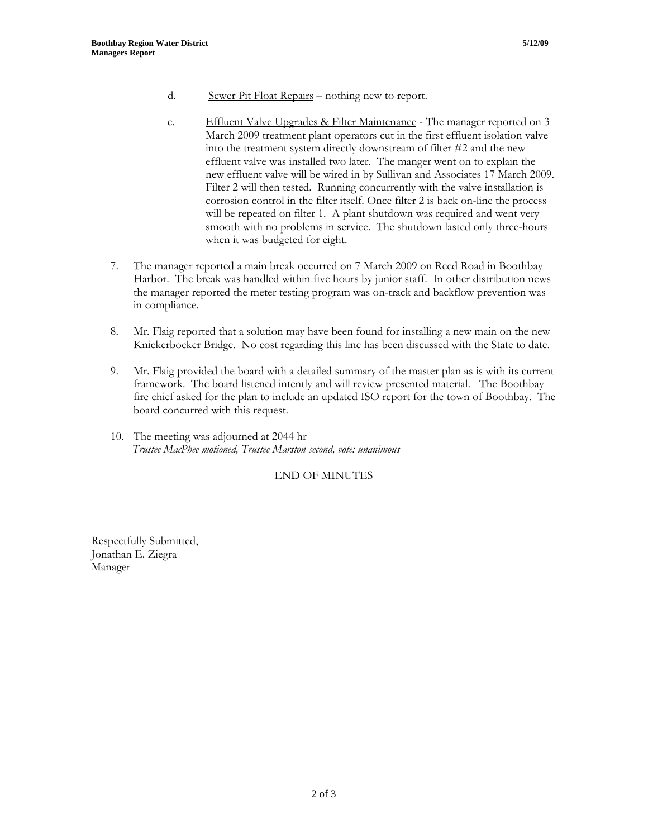- d. Sewer Pit Float Repairs nothing new to report.
- e. Effluent Valve Upgrades & Filter Maintenance The manager reported on 3 March 2009 treatment plant operators cut in the first effluent isolation valve into the treatment system directly downstream of filter #2 and the new effluent valve was installed two later. The manger went on to explain the new effluent valve will be wired in by Sullivan and Associates 17 March 2009. Filter 2 will then tested. Running concurrently with the valve installation is corrosion control in the filter itself. Once filter 2 is back on-line the process will be repeated on filter 1. A plant shutdown was required and went very smooth with no problems in service. The shutdown lasted only three-hours when it was budgeted for eight.
- 7. The manager reported a main break occurred on 7 March 2009 on Reed Road in Boothbay Harbor. The break was handled within five hours by junior staff. In other distribution news the manager reported the meter testing program was on-track and backflow prevention was in compliance.
- 8. Mr. Flaig reported that a solution may have been found for installing a new main on the new Knickerbocker Bridge. No cost regarding this line has been discussed with the State to date.
- 9. Mr. Flaig provided the board with a detailed summary of the master plan as is with its current framework. The board listened intently and will review presented material. The Boothbay fire chief asked for the plan to include an updated ISO report for the town of Boothbay. The board concurred with this request.
- 10. The meeting was adjourned at 2044 hr  *Trustee MacPhee motioned, Trustee Marston second, vote: unanimous*

## END OF MINUTES

Respectfully Submitted, Jonathan E. Ziegra Manager